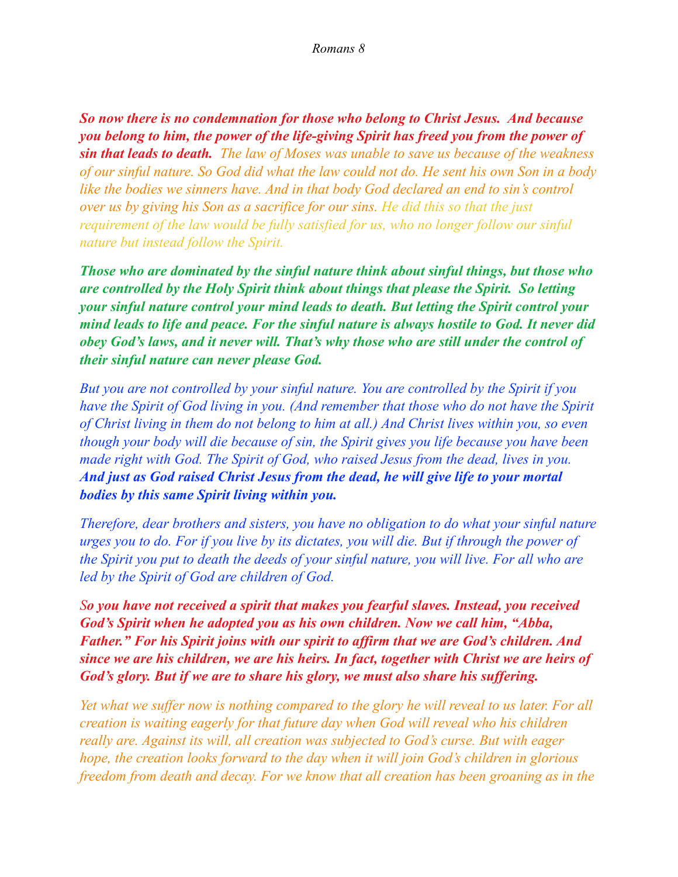*So now there is no condemnation for those who belong to Christ Jesus. And because you belong to him, the power of the life-giving Spirit has freed you from the power of sin that leads to death. The law of Moses was unable to save us because of the weakness of our sinful nature. So God did what the law could not do. He sent his own Son in a body like the bodies we sinners have. And in that body God declared an end to sin's control over us by giving his Son as a sacrifice for our sins. He did this so that the just requirement of the law would be fully satisfied for us, who no longer follow our sinful nature but instead follow the Spirit.* 

*Those who are dominated by the sinful nature think about sinful things, but those who are controlled by the Holy Spirit think about things that please the Spirit. So letting your sinful nature control your mind leads to death. But letting the Spirit control your mind leads to life and peace. For the sinful nature is always hostile to God. It never did obey God's laws, and it never will. That's why those who are still under the control of their sinful nature can never please God.* 

*But you are not controlled by your sinful nature. You are controlled by the Spirit if you have the Spirit of God living in you. (And remember that those who do not have the Spirit of Christ living in them do not belong to him at all.) And Christ lives within you, so even though your body will die because of sin, the Spirit gives you life because you have been made right with God. The Spirit of God, who raised Jesus from the dead, lives in you. And just as God raised Christ Jesus from the dead, he will give life to your mortal bodies by this same Spirit living within you.* 

*Therefore, dear brothers and sisters, you have no obligation to do what your sinful nature urges you to do. For if you live by its dictates, you will die. But if through the power of the Spirit you put to death the deeds of your sinful nature, you will live. For all who are led by the Spirit of God are children of God.* 

*So you have not received a spirit that makes you fearful slaves. Instead, you received God's Spirit when he adopted you as his own children. Now we call him, "Abba, Father." For his Spirit joins with our spirit to affirm that we are God's children. And since we are his children, we are his heirs. In fact, together with Christ we are heirs of God's glory. But if we are to share his glory, we must also share his suffering.* 

*Yet what we suffer now is nothing compared to the glory he will reveal to us later. For all creation is waiting eagerly for that future day when God will reveal who his children really are. Against its will, all creation was subjected to God's curse. But with eager hope, the creation looks forward to the day when it will join God's children in glorious freedom from death and decay. For we know that all creation has been groaning as in the*